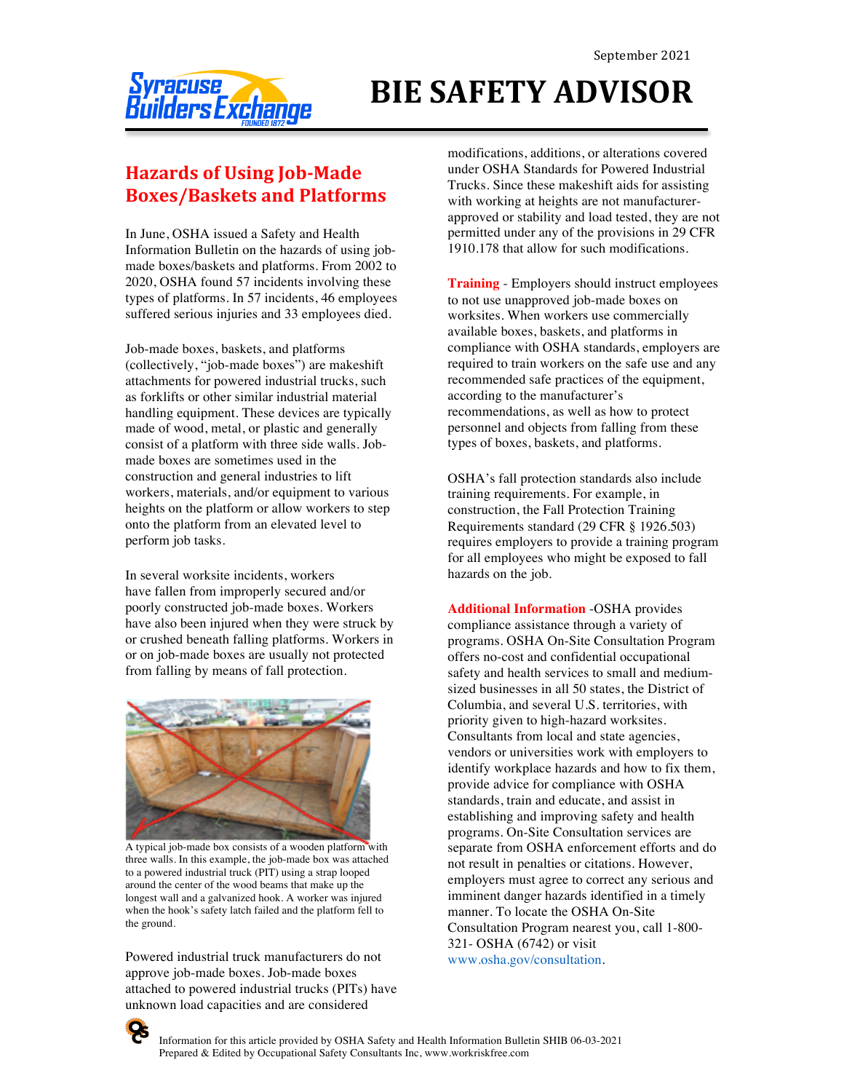

## **BIE SAFETY ADVISOR**

## **Hazards of Using Job-Made Boxes/Baskets and Platforms**

In June, OSHA issued a Safety and Health Information Bulletin on the hazards of using jobmade boxes/baskets and platforms. From 2002 to 2020, OSHA found 57 incidents involving these types of platforms. In 57 incidents, 46 employees suffered serious injuries and 33 employees died.

Job-made boxes, baskets, and platforms (collectively, "job-made boxes") are makeshift attachments for powered industrial trucks, such as forklifts or other similar industrial material handling equipment. These devices are typically made of wood, metal, or plastic and generally consist of a platform with three side walls. Jobmade boxes are sometimes used in the construction and general industries to lift workers, materials, and/or equipment to various heights on the platform or allow workers to step onto the platform from an elevated level to perform job tasks.

In several worksite incidents, workers have fallen from improperly secured and/or poorly constructed job-made boxes. Workers have also been injured when they were struck by or crushed beneath falling platforms. Workers in or on job-made boxes are usually not protected from falling by means of fall protection.



A typical job-made box consists of a wooden platform with three walls. In this example, the job-made box was attached to a powered industrial truck (PIT) using a strap looped around the center of the wood beams that make up the longest wall and a galvanized hook. A worker was injured when the hook's safety latch failed and the platform fell to the ground.

Powered industrial truck manufacturers do not approve job-made boxes. Job-made boxes attached to powered industrial trucks (PITs) have unknown load capacities and are considered

modifications, additions, or alterations covered under OSHA Standards for Powered Industrial Trucks. Since these makeshift aids for assisting with working at heights are not manufacturerapproved or stability and load tested, they are not permitted under any of the provisions in 29 CFR 1910.178 that allow for such modifications.

**Training** - Employers should instruct employees to not use unapproved job-made boxes on worksites. When workers use commercially available boxes, baskets, and platforms in compliance with OSHA standards, employers are required to train workers on the safe use and any recommended safe practices of the equipment, according to the manufacturer's recommendations, as well as how to protect personnel and objects from falling from these types of boxes, baskets, and platforms.

OSHA's fall protection standards also include training requirements. For example, in construction, the Fall Protection Training Requirements standard (29 CFR § 1926.503) requires employers to provide a training program for all employees who might be exposed to fall hazards on the job.

**Additional Information** -OSHA provides compliance assistance through a variety of programs. OSHA On-Site Consultation Program offers no-cost and confidential occupational safety and health services to small and mediumsized businesses in all 50 states, the District of Columbia, and several U.S. territories, with priority given to high-hazard worksites. Consultants from local and state agencies, vendors or universities work with employers to identify workplace hazards and how to fix them, provide advice for compliance with OSHA standards, train and educate, and assist in establishing and improving safety and health programs. On-Site Consultation services are separate from OSHA enforcement efforts and do not result in penalties or citations. However, employers must agree to correct any serious and imminent danger hazards identified in a timely manner. To locate the OSHA On-Site Consultation Program nearest you, call 1-800- 321- OSHA (6742) or visit www.osha.gov/consultation.